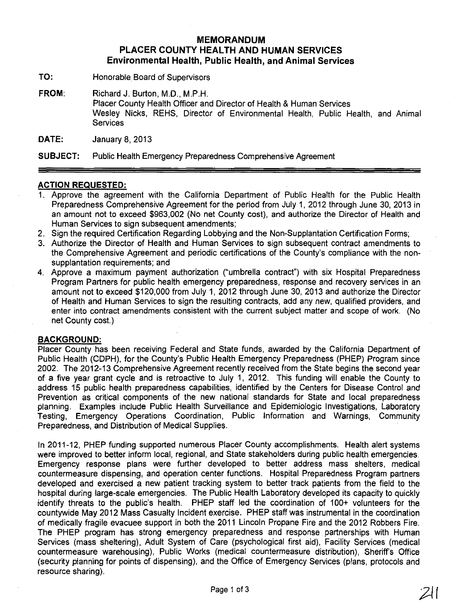## **MEMORANDUM PLACER COUNTY HEALTH AND HUMAN SERVICES Environmental Health, Public Health, and Animal Services**

**TO:** Honorable Board of Supervisors

**FROM:** Richard J. Burton, M.D., M.P.H. Placer County Health Officer and Director of Health & Human Services Wesley Nicks, REHS, Director of Environmental Health, Public Health, and Animal **Services** 

**DATE:** January 8, 2013

**SUBJECT:** Public Health Emergency Preparedness Comprehensive Agreement

## **ACTION REQUESTED:**

- 1. Approve the agreement with the California Department of Public Health for the Public Health Preparedness Comprehensive Agreement for the period from July 1, 2012 through June 30, 2013 in an amount not to exceed \$963,002 (No net County cost), and authorize the Director of Health and Human Services to sign subsequent amendments;
- 2. Sign the required Certification Regarding Lobbying and the Non-Supplantation Certification Forms;
- 3. Authorize the Director of Health and Human Services to sign subsequent contract amendments to the Comprehensive Agreement and periodic certifications of the County's compliance with the nonsupplantation requirements; and
- 4. Approve a maximum payment authorization ("umbrella contract") with six Hospital Preparedness Program Partners for public health emergency preparedness, response and recovery services in an amount not to exceed \$120,000 from July 1, 2012 through June 30, 2013 and authorize the Director of Health and Human Services to sign the resulting contracts, add any new, qualified providers, and enter into contract amendments consistent with the current subject matter and scope of work. (No net County cost.)

## **BACKGROUND:**

Placer County has been receiving Federal and State funds, awarded by the California Department of Public Health (CDPH), for the County's Public Health Emergency Preparedness (PHEP) Program since 2002. The 2012-13 Comprehensive Agreement recently received from the State begins the second year of a five year grant cycle and is retroactive to July 1, 2012. This funding will enable the County to address 15 public health preparedness capabilities, identified by the Centers for Disease Control and Prevention as critical components of the new national standards for State and local preparedness planning. Examples include Public Health Surveillance and Epidemiologic Investigations, Laboratory Testing, Emergency Operations Coordination, Public Information and Warnings, Community Preparedness, and Distribution of Medical Supplies.

In 2011-12, PHEP funding supported numerous Placer County accomplishments. Health alert systems were improved to better inform local, regional, and State stakeholders during public health emergencies. Emergency response plans were further developed to better address mass shelters, medical countermeasure dispensing, and operation center functions. Hospital Preparedness Program partners developed and exercised a new patient tracking system to better track patients from the field to the hospital during large-scale emergencies. The Public Health Laboratory developed its capacity to quickly identify threats to the public's health. PHEP staff led the coordination of 100+ volunteers for the countywide May 2012 Mass Casualty Incident exercise. PHEP staff was instrumental in the coordination of medically fragile evacuee support in both the 2011 Lincoln Propane Fire and the 2012 Robbers Fire. The PHEP program has strong emergency preparedness and response partnerships with Human Services (mass sheltering), Adult System of Care (psychological first aid), Facility Services (medical countermeasure warehousing), Public Works (medical countermeasure distribution), Sheriff's Office (securtty planning for points of dispensing), and the Office of Emergency Services (plans, protocols and resource sharing).

Page 1 of 3  $211$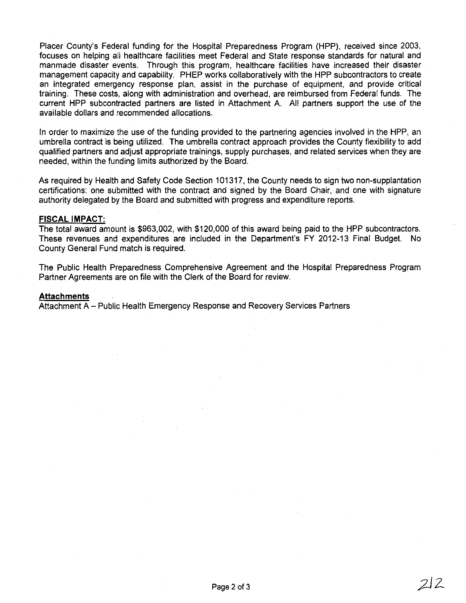Placer County's Federal funding for the Hospital Preparedness Program (HPP), received since 2003, focuses on helping all healthcare facilities meet Federal and State response standards for natural and manmade disaster events. Through this program, healthcare facilities have increased their disaster management capacity and capability. PHEP works collaboratively with the HPP subcontractors to create an integrated emergency response plan, assist in the purchase of equipment, and provide critical training. These costs, along with administration and overhead, are reimbursed from Federal funds. The current HPP subcontracted partners are listed in Attachment A. All partners support the use of the available dollars and recommended allocations.

In order to maximize the use of the funding provided to the partnering agencies involved in the HPP, an umbrella contract is being utilized. The umbrella contract approach provides the County flexibility to add qualified partners and adjust appropriate trainings, supply purchases, and related services when they are needed, within the funding limits authorized by the Board.

As required by Health and Safety Code Section 101317, the County needs to sign two non-supplantation certifications: one submitted with the contract and signed by the Board Chair, and one with signature authority delegated by the Board and submitted with progress and expenditure reports.

### **FISCAL IMPACT:**

The total award amount is \$963,002, with \$120,000 of this award being paid to the HPP subcontractors. These revenues and expenditures are included in the Department's FY 2012-13 Final Budget. No County General Fund match is required.

The Public Health Preparedness Comprehensive Agreement and the Hospital Preparedness Program Partner Agreements are on file with the Clerk of the Board for review.

#### **Attachments**

Attachment A - Public Health Emergency Response and Recovery Services Partners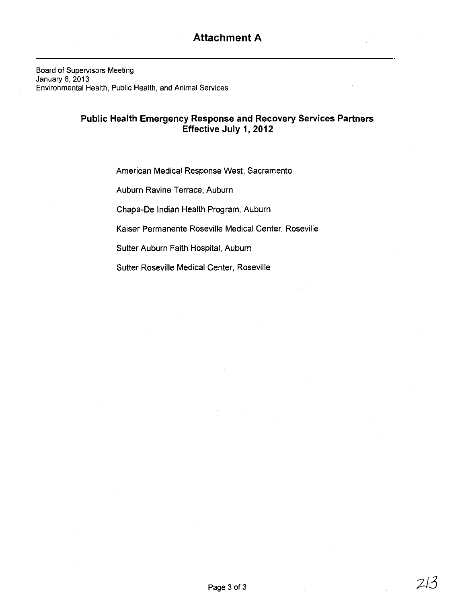Board of Supervisors Meeting January 8, 2013 Environmental Health, Public Health, and Animal Services

# **Public Health Emergency Response and Recovery Services Partners Effective July 1, 2012**

American Medical Response West, Sacramento

Auburn Ravine Terrace, Auburn

Chapa-De Indian Health Program, Auburn

Kaiser Permanente Roseville Medical Center, Roseville

Sutter Auburn Faith Hospital, Auburn

Sutter Roseville Medical Center, Roseville